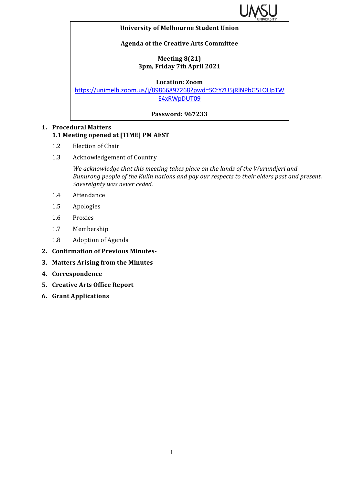

#### **University of Melbourne Student Union**

## **Agenda of the Creative Arts Committee**

### **Meeting 8(21) 3pm, Friday 7th April 2021**

#### **Location: Zoom**

https://unimelb.zoom.us/j/89866897268?pwd=SCtYZU5jRlNPbG5LOHpTW E4xRWpDUT09

### **Password: 967233**

# **1. Procedural Matters 1.1 Meeting opened at [TIME] PM AEST**

- 1.2 Election of Chair
- 1.3 Acknowledgement of Country

*We acknowledge that this meeting takes place on the lands of the Wurundjeri and Bunurong people of the Kulin nations and pay our respects to their elders past and present.* Sovereignty was never ceded.

- 1.4 Attendance
- 1.5 Apologies
- 1.6 Proxies
- 1.7 Membership
- 1.8 Adoption of Agenda
- **2. Confirmation of Previous Minutes-**
- **3. Matters Arising from the Minutes**
- **4. Correspondence**
- **5. Creative Arts Office Report**
- **6. Grant Applications**